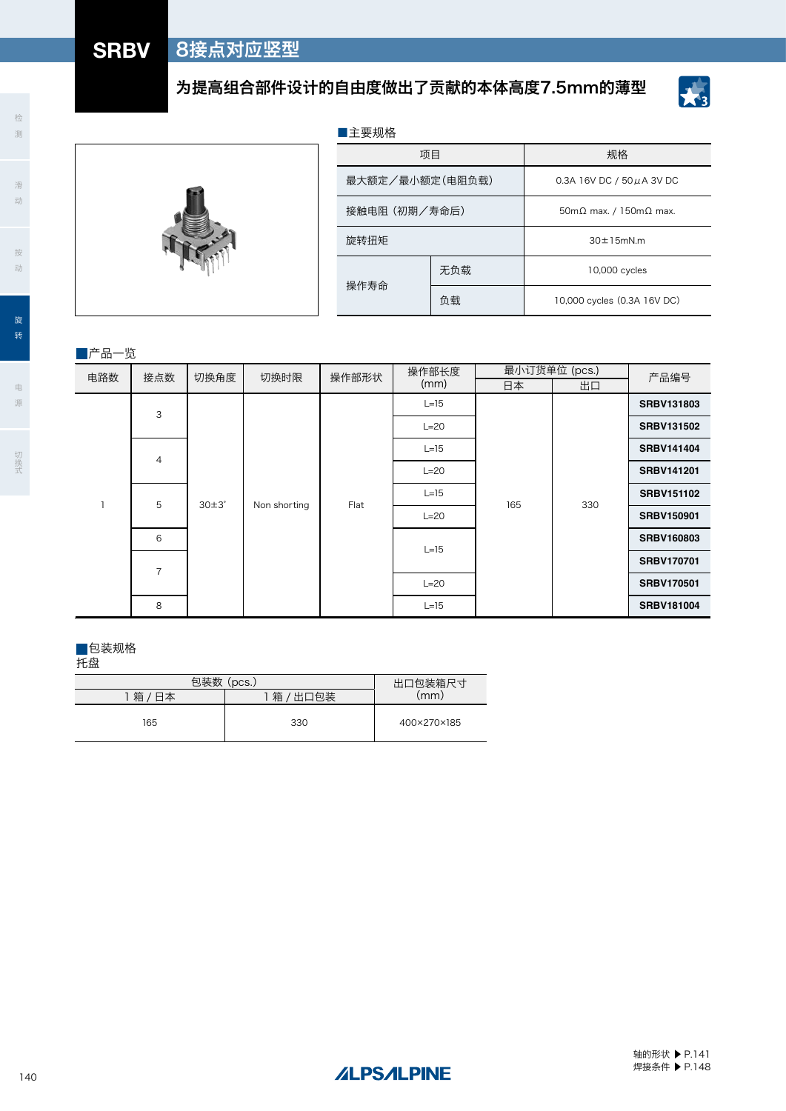# 为提高组合部件设计的自由度做出了贡献的本体高度7.5mm的薄型

项目 规格

无负载 10,000 cycles

最大额定/最小额定 (电阻负载) 0.3A 16V DC / 50μA 3V DC

接触电阻 (初期/寿命后) 70mm 50mΩ max. / 150mΩ max.

旋转扭矩 30±15mN.m

■主要规格

操作寿命



滑 动

检 测



按 动

源

|      |                |                |              | 沐124咖 |        | 负载            |     |  | 10,000 cycles (0.3A 16V DC) |                   |
|------|----------------|----------------|--------------|-------|--------|---------------|-----|--|-----------------------------|-------------------|
|      |                |                |              |       |        |               |     |  |                             |                   |
| 产品一览 |                |                |              |       |        |               |     |  |                             |                   |
| 电路数  | 接点数            | 切换角度           | 切换时限         | 操作部形状 |        | 操作部长度<br>(mm) |     |  | 最小订货单位 (pcs.)               | 产品编号              |
|      |                |                |              |       |        |               | 日本  |  | 出口                          |                   |
|      | 3              |                |              |       |        | $L=15$        |     |  |                             | SRBV131803        |
|      |                |                |              |       |        | $L=20$        |     |  |                             | <b>SRBV131502</b> |
|      | $\overline{4}$ |                |              |       |        | $L=15$        |     |  |                             | <b>SRBV141404</b> |
|      |                |                |              |       |        | $L = 20$      |     |  |                             | <b>SRBV141201</b> |
|      | 5              | $30\pm3^\circ$ |              | Flat  |        | $L=15$        | 165 |  | 330                         | <b>SRBV151102</b> |
|      |                |                | Non shorting |       |        | $L = 20$      |     |  |                             | <b>SRBV150901</b> |
|      | 6              |                |              |       |        |               |     |  |                             | SRBV160803        |
|      | $\overline{7}$ |                |              |       | $L=15$ |               |     |  |                             | <b>SRBV170701</b> |
|      |                |                |              |       |        | $L = 20$      |     |  | <b>SRBV170501</b>           |                   |
|      | 8              |                |              |       |        | $L=15$        |     |  |                             | SRBV181004        |

### ■包装规格

托盘

产品一览

| 包装数     | 出口包装箱尺寸   |             |  |
|---------|-----------|-------------|--|
| 箱<br>日本 | 箱<br>出口包装 | (mm)        |  |
| 165     | 330       | 400×270×185 |  |

焊接条件 ▶ P.148

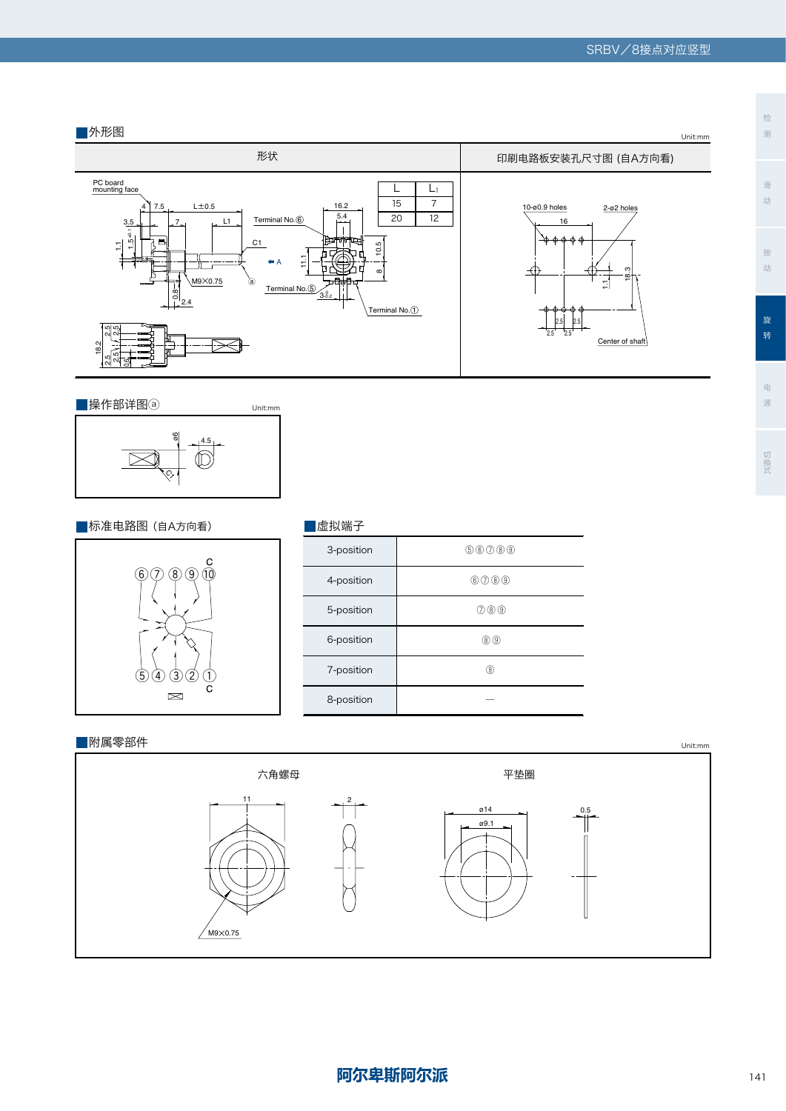



# ■标准电路图(自A方向看) <mark>■</mark>虚拟端子



| 虚拟端子 |  |  |  |  |  |
|------|--|--|--|--|--|
|------|--|--|--|--|--|

 $\overline{\phantom{a}}$ 

L

L

| 3-position | \$00000     |
|------------|-------------|
| 4-position | 0000        |
| 5-position | 000         |
| 6-position | $\circledR$ |
| 7-position | 0           |
| 8-position |             |

### ■附属零部件



## 检 测

按

电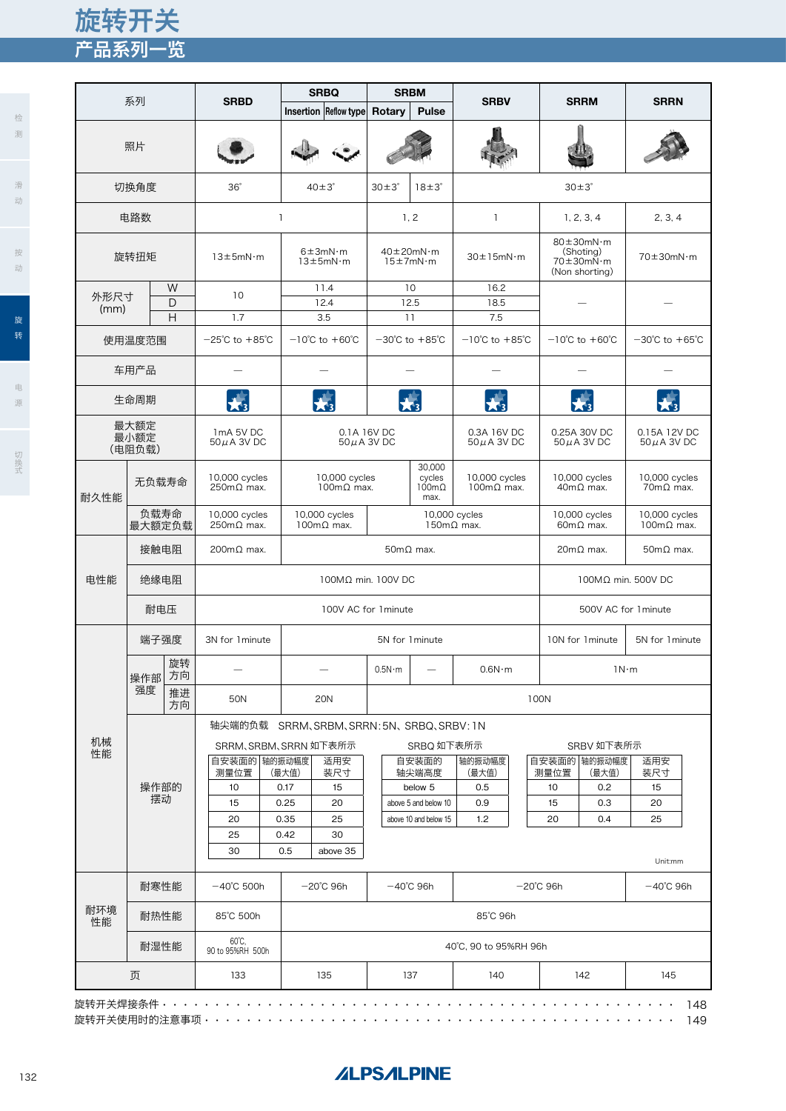# 产品系列一览 旋转开关

|               |                |          |                                                                 |                                                     | <b>SRBQ</b>                               |                      | <b>SRBM</b>                                |                                            |                       |                          |                                                                                                |                                            |  |
|---------------|----------------|----------|-----------------------------------------------------------------|-----------------------------------------------------|-------------------------------------------|----------------------|--------------------------------------------|--------------------------------------------|-----------------------|--------------------------|------------------------------------------------------------------------------------------------|--------------------------------------------|--|
|               | 系列             |          | <b>SRBD</b>                                                     |                                                     | Insertion Reflow type                     | Rotary               | <b>Pulse</b>                               | <b>SRBV</b>                                |                       |                          | <b>SRRM</b>                                                                                    | <b>SRRN</b>                                |  |
|               | 照片             |          |                                                                 |                                                     |                                           |                      |                                            |                                            |                       |                          |                                                                                                |                                            |  |
|               | 切换角度           |          | $36^\circ$                                                      | $40\pm3^\circ$                                      |                                           | $30\pm3^\circ$       | $18 \pm 3^\circ$                           |                                            |                       | $30\pm3^\circ$           |                                                                                                |                                            |  |
|               | 电路数            |          |                                                                 | $\mathbf{I}$                                        |                                           |                      | 1, 2                                       | $\mathbf{I}$                               |                       |                          | 1, 2, 3, 4                                                                                     | 2, 3, 4                                    |  |
| 旋转扭矩          |                |          | $13\pm5$ mN·m                                                   | $6 \pm 3$ m $N \cdot m$<br>$13 \pm 5$ m $N \cdot m$ |                                           |                      | $40\pm20$ mN·m<br>$15 \pm 7$ m $N \cdot m$ | $30 \pm 15$ mN·m                           |                       |                          | $80 \pm 30$ mN·m<br>(Shoting)<br>$70 \pm 30$ m $\mathrm{N} \cdot \mathrm{m}$<br>(Non shorting) | $70\pm30$ mN·m                             |  |
| 外形尺寸<br>(mm)  |                | W<br>D   | 10                                                              |                                                     | 11.4<br>12.4                              |                      | 10<br>12.5                                 | 16.2<br>18.5                               |                       |                          |                                                                                                |                                            |  |
|               | 使用温度范围         | H        | 1.7<br>$-25^{\circ}$ C to $+85^{\circ}$ C                       |                                                     | 3.5<br>$-10^{\circ}$ C to $+60^{\circ}$ C |                      | 11<br>$-30^{\circ}$ C to $+85^{\circ}$ C   | 7.5<br>$-10^{\circ}$ C to $+85^{\circ}$ C  |                       |                          | $-10^{\circ}$ C to $+60^{\circ}$ C                                                             | $-30^{\circ}$ C to $+65^{\circ}$ C         |  |
|               | 车用产品           |          |                                                                 |                                                     |                                           |                      |                                            |                                            |                       |                          |                                                                                                |                                            |  |
|               | 生命周期           |          |                                                                 |                                                     |                                           |                      |                                            |                                            |                       |                          |                                                                                                |                                            |  |
|               | 最大额定           |          |                                                                 |                                                     |                                           |                      |                                            |                                            |                       |                          |                                                                                                |                                            |  |
|               | 最小额定<br>(电阻负载) |          | 1mA 5V DC<br>$50 \mu$ A 3V DC                                   |                                                     | 0.1A 16V DC<br>$50\,\mu$ A 3V DC          |                      |                                            | 0.3A 16V DC<br>$50\,\mu$ A 3V DC           |                       |                          | 0.25A 30V DC<br>$50 \mu$ A 3V DC                                                               | 0.15A 12V DC<br>$50\,\mu$ A 3V DC          |  |
| 无负载寿命<br>耐久性能 |                |          | 10,000 cycles<br>$250 \text{m}\Omega$ max.                      | 10,000 cycles<br>$100 \text{m}\Omega$ max.          |                                           |                      | 30,000<br>cycles<br>$100m\Omega$<br>max.   | 10,000 cycles<br>$100 \text{m}\Omega$ max. |                       |                          | 10,000 cycles<br>$40m\Omega$ max.                                                              | 10,000 cycles<br>$70m\Omega$ max.          |  |
|               | 负载寿命<br>最大额定负载 |          | 10,000 cycles<br>$250 \text{m}\Omega$ max.                      |                                                     | 10,000 cycles<br>$100 \text{mA}$ max.     |                      | 10,000 cycles<br>$150 \text{m}\Omega$ max. |                                            |                       |                          | 10,000 cycles<br>$60m\Omega$ max.                                                              | 10,000 cycles<br>$100 \text{m}\Omega$ max. |  |
|               | 接触电阻           |          | 200mΩ max.                                                      |                                                     |                                           | $50m\Omega$ max.     |                                            |                                            | $20m\Omega$ max.      | $50 \text{m}\Omega$ max. |                                                                                                |                                            |  |
| 电性能           | 绝缘电阻           |          | 100MΩ min. 100V DC                                              |                                                     |                                           |                      |                                            |                                            |                       |                          | 100MΩ min. 500V DC                                                                             |                                            |  |
|               |                | 耐电压      |                                                                 |                                                     |                                           | 100V AC for 1 minute |                                            |                                            | 500V AC for 1 minute  |                          |                                                                                                |                                            |  |
|               | 端子强度           |          | 3N for 1 minute                                                 | 5N for 1 minute                                     |                                           |                      |                                            |                                            |                       |                          | 10N for 1 minute                                                                               | 5N for 1 minute                            |  |
|               | 操作部            | 旋转<br>方向 |                                                                 |                                                     |                                           | 0.5N·m               |                                            | $0.6N \cdot m$                             |                       | 1N·m                     |                                                                                                |                                            |  |
|               | 强度             | 推进<br>方向 | <b>50N</b>                                                      |                                                     | <b>20N</b>                                |                      |                                            | 100N                                       |                       |                          |                                                                                                |                                            |  |
| 机械<br>性能      | 操作部的<br>摆动     |          | 轴尖端的负载 SRRM、SRBM、SRRN: 5N、SRBQ、SRBV: 1N<br>SRRM、SRBM、SRRN 如下表所示 |                                                     |                                           |                      | SRBQ 如下表所示                                 |                                            |                       |                          | SRBV 如下表所示                                                                                     |                                            |  |
|               |                |          | 自安装面的 轴的振动幅度<br>测量位置                                            | (最大值)                                               | 适用安<br>装尺寸                                |                      | 自安装面的<br>轴尖端高度                             | 轴的振动幅度<br>(最大值)                            |                       | 测量位置                     | 自安装面的 轴的振动幅度<br>(最大值)                                                                          | 适用安<br>装尺寸                                 |  |
|               |                |          | 10                                                              | 0.17                                                | 15                                        |                      | below 5                                    | 0.5                                        |                       | 10                       | 0.2                                                                                            | 15                                         |  |
|               |                |          | 15                                                              | 0.25                                                | 20                                        |                      | above 5 and below 10                       | 0.9                                        |                       | 15                       | 0.3                                                                                            | 20                                         |  |
|               |                |          | 20                                                              | 0.35                                                | 25                                        |                      | above 10 and below 15                      | 1.2                                        |                       | 20                       | 0.4                                                                                            | 25                                         |  |
|               |                |          | 25<br>30                                                        | 0.42<br>0.5                                         | 30<br>above 35                            |                      |                                            |                                            |                       |                          |                                                                                                | Unit:mm                                    |  |
|               | 耐寒性能           |          | $-40^{\circ}$ C 500h                                            |                                                     | $-20^{\circ}$ C 96h                       |                      | $-40^{\circ}$ C 96h                        |                                            |                       | $-20^{\circ}$ C 96h      |                                                                                                | $-40^{\circ}$ C 96h                        |  |
| 耐环境<br>性能     | 耐热性能           |          | 85°C 500h                                                       |                                                     |                                           | 85°C 96h             |                                            |                                            |                       |                          |                                                                                                |                                            |  |
|               | 耐湿性能           |          | $60^{\circ}$ C.<br>90 to 95%RH 500h                             |                                                     |                                           |                      |                                            |                                            | 40°C, 90 to 95%RH 96h |                          |                                                                                                |                                            |  |
|               | 页              |          | 133                                                             |                                                     | 135                                       |                      | 137                                        | 140                                        |                       |                          | 142                                                                                            | 145                                        |  |

# **ALPSALPINE**

动

滑

检 测

电

源

源切换式

切换式